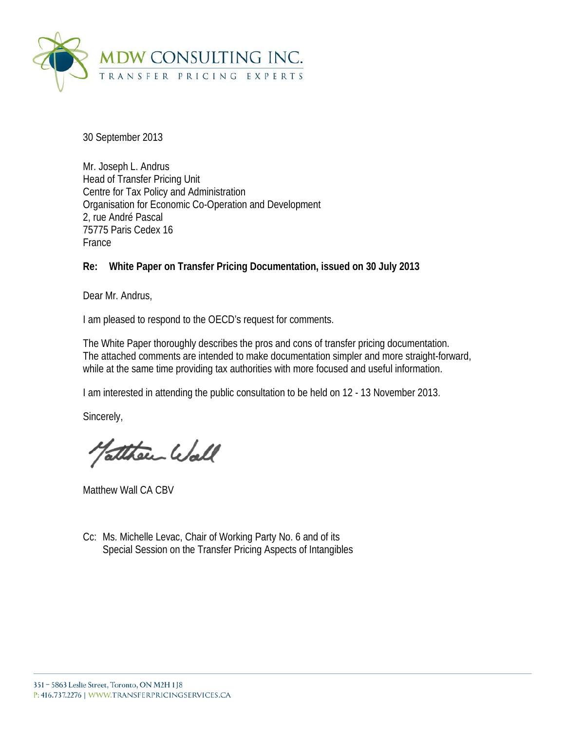

30 September 2013

Mr. Joseph L. Andrus Head of Transfer Pricing Unit Centre for Tax Policy and Administration Organisation for Economic Co-Operation and Development 2, rue André Pascal 75775 Paris Cedex 16 France

**Re: White Paper on Transfer Pricing Documentation, issued on 30 July 2013**

Dear Mr. Andrus,

I am pleased to respond to the OECD's request for comments.

The White Paper thoroughly describes the pros and cons of transfer pricing documentation. The attached comments are intended to make documentation simpler and more straight-forward, while at the same time providing tax authorities with more focused and useful information.

I am interested in attending the public consultation to be held on 12 - 13 November 2013.

Sincerely,

atthen Wall

Matthew Wall CA CBV

Cc: Ms. Michelle Levac, Chair of Working Party No. 6 and of its Special Session on the Transfer Pricing Aspects of Intangibles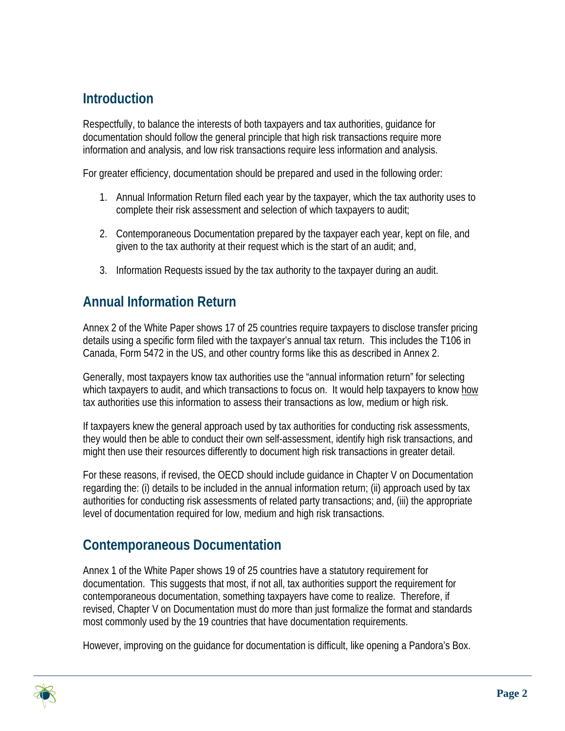# **Introduction**

Respectfully, to balance the interests of both taxpayers and tax authorities, guidance for documentation should follow the general principle that high risk transactions require more information and analysis, and low risk transactions require less information and analysis.

For greater efficiency, documentation should be prepared and used in the following order:

- 1. Annual Information Return filed each year by the taxpayer, which the tax authority uses to complete their risk assessment and selection of which taxpayers to audit;
- 2. Contemporaneous Documentation prepared by the taxpayer each year, kept on file, and given to the tax authority at their request which is the start of an audit; and,
- 3. Information Requests issued by the tax authority to the taxpayer during an audit.

### **Annual Information Return**

Annex 2 of the White Paper shows 17 of 25 countries require taxpayers to disclose transfer pricing details using a specific form filed with the taxpayer's annual tax return. This includes the T106 in Canada, Form 5472 in the US, and other country forms like this as described in Annex 2.

Generally, most taxpayers know tax authorities use the "annual information return" for selecting which taxpayers to audit, and which transactions to focus on. It would help taxpayers to know how tax authorities use this information to assess their transactions as low, medium or high risk.

If taxpayers knew the general approach used by tax authorities for conducting risk assessments, they would then be able to conduct their own self-assessment, identify high risk transactions, and might then use their resources differently to document high risk transactions in greater detail.

For these reasons, if revised, the OECD should include guidance in Chapter V on Documentation regarding the: (i) details to be included in the annual information return; (ii) approach used by tax authorities for conducting risk assessments of related party transactions; and, (iii) the appropriate level of documentation required for low, medium and high risk transactions.

### **Contemporaneous Documentation**

Annex 1 of the White Paper shows 19 of 25 countries have a statutory requirement for documentation. This suggests that most, if not all, tax authorities support the requirement for contemporaneous documentation, something taxpayers have come to realize. Therefore, if revised, Chapter V on Documentation must do more than just formalize the format and standards most commonly used by the 19 countries that have documentation requirements.

However, improving on the guidance for documentation is difficult, like opening a Pandora's Box.